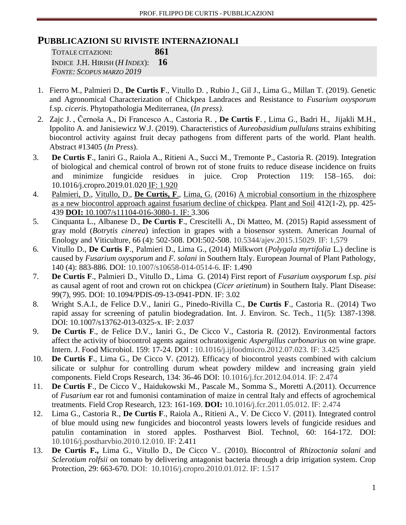# **PUBBLICAZIONI SU RIVISTE INTERNAZIONALI**

TOTALE CITAZIONI: **861** INDICE J.H. HIRISH (*H INDEX*): **16** *FONTE: SCOPUS MARZO 2019*

- 1. Fierro M., Palmieri D., **De Curtis F**., Vitullo D. , Rubio J., Gil J., Lima G., Millan T. (2019). Genetic and Agronomical Characterization of Chickpea Landraces and Resistance to *Fusarium oxysporum* f.sp. *ciceris*. Phytopathologia Mediterranea, (*In press)*.
- 2. Zajc J. , Černoša A., Di Francesco A., Castoria R. , **De Curtis F**. , Lima G., Badri H., Jijakli M.H., Ippolito A. and Janisiewicz W.J. (2019). Characteristics of *Aureobasidium pullulans* strains exhibiting biocontrol activity against fruit decay pathogens from different parts of the world. Plant health. Abstract #13405 (*In Press*).
- 3. **De Curtis F**., Ianiri G., Raiola A., Ritieni A., Succi M., Tremonte P., Castoria R. (2019). Integration of biological and chemical control of brown rot of stone fruits to reduce disease incidence on fruits and minimize fungicide residues in juice. Crop Protection 119: 158–165. [doi:](https://doi.org/10.1016/j.cropro.2019.01.020) [10.1016/j.cropro.2019.01.020](https://doi.org/10.1016/j.cropro.2019.01.020) IF: 1.920
- 4. [Palmieri, D.,](https://www.scopus.com/authid/detail.uri?origin=resultslist&authorId=56223799600&zone=) [Vitullo, D.,](https://www.scopus.com/authid/detail.uri?origin=resultslist&authorId=36244783900&zone=) **[De Curtis, F](https://www.scopus.com/authid/detail.uri?origin=resultslist&authorId=6505817428&zone=)**., [Lima, G.](https://www.scopus.com/authid/detail.uri?origin=resultslist&authorId=7005403745&zone=) (2016) [A microbial consortium in the rhizosphere](https://www.scopus.com/record/display.uri?eid=2-s2.0-84991052069&origin=resultslist&sort=plf-f&src=s&st1=de+curtis&st2=f&nlo=1&nlr=20&nls=count-f&sid=B66F09C6D4ACD818C600911E9BCBB0E3.wsnAw8kcdt7IPYLO0V48gA%3a63&sot=anl&sdt=aut&sl=38&s=AU-ID%28%22De+Curtis%2c+Filippo%22+6505817428%29&relpos=0&citeCnt=1&searchTerm=)  [as a new biocontrol approach against fusarium decline of chickpea.](https://www.scopus.com/record/display.uri?eid=2-s2.0-84991052069&origin=resultslist&sort=plf-f&src=s&st1=de+curtis&st2=f&nlo=1&nlr=20&nls=count-f&sid=B66F09C6D4ACD818C600911E9BCBB0E3.wsnAw8kcdt7IPYLO0V48gA%3a63&sot=anl&sdt=aut&sl=38&s=AU-ID%28%22De+Curtis%2c+Filippo%22+6505817428%29&relpos=0&citeCnt=1&searchTerm=) [Plant and Soil](https://www.scopus.com/sourceid/16574?origin=resultslist) 412(1-2), pp. 425- 439 **DOI:** 10.1007/s11104-016-3080-1. IF: 3.306
- 5. [Cinquanta L.,](http://www.scopus.com/authid/detail.url?origin=resultslist&authorId=6701577818&zone=) [Albanese D.,](http://www.scopus.com/authid/detail.url?origin=resultslist&authorId=9637859400&zone=) **[De Curtis F](http://www.scopus.com/authid/detail.url?origin=resultslist&authorId=6505817428&zone=)**., [Crescitelli A.,](http://www.scopus.com/authid/detail.url?origin=resultslist&authorId=23018146300&zone=) [Di Matteo, M.](http://www.scopus.com/authid/detail.url?origin=resultslist&authorId=9637534800&zone=) (2015) [Rapid assessment of](http://www.scopus.com/record/display.uri?eid=2-s2.0-84947253320&origin=resultslist&sort=plf-f&src=s&st1=de+curtis&st2=f&nlo=1&nlr=20&nls=count-f&sid=DA91312AFFF368DB6F8F2CA7AA041793.WlW7NKKC52nnQNxjqAQrlA%3a153&sot=anl&sdt=aut&sl=38&s=AU-ID%28%22De+Curtis%2c+Filippo%22+6505817428%29&relpos=0&citeCnt=0&searchTerm=AU-ID%28%5C%26quot%3BDe+Curtis%2C+Filippo%5C%26quot%3B+6505817428%29)  gray mold (*Botrytis cinerea*[\) infection in grapes with a biosensor system.](http://www.scopus.com/record/display.uri?eid=2-s2.0-84947253320&origin=resultslist&sort=plf-f&src=s&st1=de+curtis&st2=f&nlo=1&nlr=20&nls=count-f&sid=DA91312AFFF368DB6F8F2CA7AA041793.WlW7NKKC52nnQNxjqAQrlA%3a153&sot=anl&sdt=aut&sl=38&s=AU-ID%28%22De+Curtis%2c+Filippo%22+6505817428%29&relpos=0&citeCnt=0&searchTerm=AU-ID%28%5C%26quot%3BDe+Curtis%2C+Filippo%5C%26quot%3B+6505817428%29) [American Journal of](http://www.scopus.com/source/sourceInfo.uri?sourceId=27004&origin=resultslist)  [Enology and Viticulture,](http://www.scopus.com/source/sourceInfo.uri?sourceId=27004&origin=resultslist) 66 (4): 502-508. DOI:502-508. 10.5344/ajev.2015.15029. IF: 1,579
- 6. Vitullo D., **De Curtis F**., Palmieri D., Lima G., (2014) Milkwort (*Polygala myrtifolia* L.) decline is caused by *Fusarium oxysporum* and *F. solani* in Southern Italy. European Journal of Plant Pathology, 140 (4): 883-886. DOI: 10.1007/s10658-014-0514-6. IF: 1.490
- 7. **De Curtis F**., Palmieri D., Vitullo D., Lima G. (2014) First report of *Fusarium oxysporum* f.sp. *pisi* as causal agent of root and crown rot on chickpea (*Cicer arietinum*) in Southern Italy. Plant Disease: 99(7), 995. DOI: 10.1094/PDIS-09-13-0941-PDN. IF: 3.02
- 8. Wright S.A.I., de Felice D.V., Ianiri G., Pinedo-Rivilla C., **De Curtis F**., Castoria R.. (2014) Two rapid assay for screening of patulin biodegradation. Int. J. Environ. Sc. Tech., 11(5): 1387-1398. DOI: 10.1007/s13762-013-0325-x. IF: 2.037
- 9. **De Curtis F**., de Felice D.V., Ianiri G., De Cicco V., Castoria R. (2012). Environmental factors affect the activity of biocontrol agents against ochratoxigenic *Aspergillus carbonarius* on wine grape. Intern. J. Food Microbiol. 159: 17-24. DOI : 10.1016/j.ijfoodmicro.2012.07.023. IF: 3.425
- 10. **De Curtis F**., Lima G., De Cicco V. (2012). Efficacy of biocontrol yeasts combined with calcium silicate or sulphur for controlling durum wheat powdery mildew and increasing grain yield components. Field Crops Research, 134: 36-46 DOI: 10.1016/j.fcr.2012.04.014. IF: 2.474
- 11. **De Curtis F**., De Cicco V., Haidukowski M., Pascale M., Somma S., Moretti A.(2011). Occurrence of *Fusarium* ear rot and fumonisi contamination of maize in central Italy and effects of agrochemical treatments. Field Crop Research, 123: 161-169. **DOI:** 10.1016/j.fcr.2011.05.012. IF: 2.474
- 12. Lima G., Castoria R., **De Curtis F**., Raiola A., Ritieni A., V. De Cicco V. (2011). Integrated control of blue mould using new fungicides and biocontrol yeasts lowers levels of fungicide residues and patulin contamination in stored apples. Postharvest Biol. Technol, 60: 164-172. DOI: 10.1016/j.postharvbio.2010.12.010. IF: 2.411
- 13. **De Curtis F.,** Lima G., Vitullo D., De Cicco V.. (2010). Biocontrol of *Rhizoctonia solani* and *Sclerotium rolfsii* on tomato by delivering antagonist bacteria through a drip irrigation system. Crop Protection, 29: 663-670. DOI: 10.1016/j.cropro.2010.01.012. IF: 1.517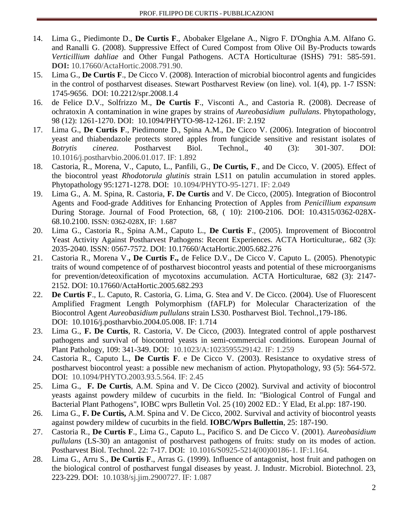- 14. Lima G., Piedimonte D., **De Curtis F**., Abobaker Elgelane A., Nigro F. D'Onghia A.M. Alfano G. and Ranalli G. (2008). Suppressive Effect of Cured Compost from Olive Oil By-Products towards *Verticillium dahliae* and Other Fungal Pathogens. ACTA Horticulturae (ISHS) 791: 585-591. **DOI:** 10.17660/ActaHortic.2008.791.90.
- 15. Lima G., **De Curtis F**., De Cicco V. (2008). Interaction of microbial biocontrol agents and fungicides in the control of postharvest diseases. Stewart Postharvest Review (on line). vol. 1(4), pp. 1-7 ISSN: 1745-9656. DOI: 10.2212/spr.2008.1.4
- 16. de Felice D.V., Solfrizzo M., **De Curtis F**., Visconti A., and Castoria R. (2008). Decrease of ochratoxin A contamination in wine grapes by strains of *Aureobasidium pullulans*. Phytopathology, 98 (12): 1261-1270. DOI: 10.1094/PHYTO-98-12-1261. IF: 2.192
- 17. Lima G., **De Curtis F**., Piedimonte D., Spina A.M., De Cicco V. (2006). Integration of biocontrol yeast and thiabendazole protects stored apples from fungicide sensitive and resistant isolates of *Botrytis cinerea*. Postharvest Biol. Technol., 40 (3): 301-307. DOI: 10.1016/j.postharvbio.2006.01.017. IF: 1.892
- 18. Castoria, R., Morena, V., Caputo, L., Panfili, G., **De Curtis, F**., and De Cicco, V. (2005). Effect of the biocontrol yeast *Rhodotorula glutinis* strain LS11 on patulin accumulation in stored apples. Phytopathology 95:1271-1278. DOI: 10.1094/PHYTO-95-1271. IF: 2.049
- 19. Lima G., A. M. Spina, R. Castoria, **F. De Curtis** and V. De Cicco, (2005). Integration of Biocontrol Agents and Food-grade Additives for Enhancing Protection of Apples from *Penicillium expansum* During Storage. Journal of Food Protection, 68, ( 10): 2100-2106. DOI: 10.4315/0362-028X-68.10.2100. ISSN: 0362-028X, IF: 1.687
- 20. Lima G., Castoria R., Spina A.M., Caputo L., **De Curtis F**., (2005). Improvement of Biocontrol Yeast Activity Against Postharvest Pathogens: Recent Experiences. ACTA Horticulturae,. 682 (3): 2035-2040. ISSN: 0567-7572. DOI: 10.17660/ActaHortic.2005.682.276
- 21. Castoria R., Morena V.**, De Curtis F.,** de Felice D.V., De Cicco V. Caputo L. (2005). Phenotypic traits of wound competence of of postharvest biocontrol yeasts and potential of these microorganisms for prevention/deteoxification of mycotoxins accumulation. ACTA Horticulturae, 682 (3): 2147- 2152. DOI: 10.17660/ActaHortic.2005.682.293
- 22. **De Curtis F**., L. Caputo, R. Castoria, G. Lima, G. Stea and V. De Cicco. (2004). Use of Fluorescent Amplified Fragment Length Polymorphism (fAFLP) for Molecular Characterization of the Biocontrol Agent *Aureobasidium pullulans* strain LS30. Postharvest Biol. Technol.,179-186. DOI: 10.1016/j.postharvbio.2004.05.008. IF: 1.714
- 23. Lima G., **F. De Curtis**, R. Castoria, V. De Cicco, (2003). Integrated control of apple postharvest pathogens and survival of biocontrol yeasts in semi-commercial conditions. European Journal of Plant Pathology, 109: 341-349. DOI: 10.1023/A:1023595529142. IF: 1.259
- 24. Castoria R., Caputo L., **De Curtis F**. e De Cicco V. (2003). Resistance to oxydative stress of postharvest biocontrol yeast: a possible new mechanism of action. Phytopathology, 93 (5): 564-572. DOI: 10.1094/PHYTO.2003.93.5.564. IF: 2.45
- 25. Lima G., **F. De Curtis**, A.M. Spina and V. De Cicco (2002). Survival and activity of biocontrol yeasts against powdery mildew of cucurbits in the field. In: "Biological Control of Fungal and Bacterial Plant Pathogens", IOBC wprs Bulletin Vol. 25 (10) 2002 ED.: Y Elad, Et al.pp: 187-190.
- 26. Lima G., **F. De Curtis,** A.M. Spina and V. De Cicco, 2002. Survival and activity of biocontrol yeasts against powdery mildew of cucurbits in the field. **IOBC/Wprs Bullettin**, 25: 187-190.
- 27. Castoria R., **De Curtis F**., Lima G., Caputo L., Pacifico S. and De Cicco V. (2001). *Aureobasidium pullulans* (LS-30) an antagonist of postharvest pathogens of fruits: study on its modes of action. Postharvest Biol. Technol. 22: 7-17. DOI: 10.1016/S0925-5214(00)00186-1. IF:1.164.
- 28. Lima G., Arru S., **De Curtis F**., Arras G. (1999). Influence of antagonist, host fruit and pathogen on the biological control of postharvest fungal diseases by yeast. J. Industr. Microbiol. Biotechnol. 23, 223-229. DOI: 10.1038/sj.jim.2900727. IF: 1.087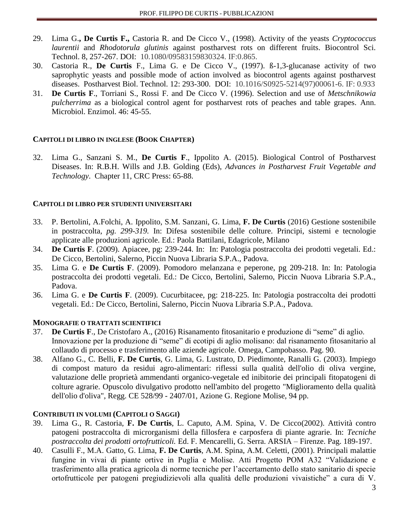- 29. Lima G.**, De Curtis F.,** Castoria R. and De Cicco V., (1998). Activity of the yeasts *Cryptococcus laurentii* and *Rhodotorula glutinis* against postharvest rots on different fruits. Biocontrol Sci. Technol. 8, 257-267. DOI: 10.1080/09583159830324. IF:0.865.
- 30. Castoria R., **De Curtis** F., Lima G. e De Cicco V., (1997). ß-1,3-glucanase activity of two saprophytic yeasts and possible mode of action involved as biocontrol agents against postharvest diseases. Postharvest Biol. Technol. 12: 293-300. DOI: 10.1016/S0925-5214(97)00061-6. IF: 0.933
- 31. **De Curtis F**., Torriani S., Rossi F. and De Cicco V. (1996). Selection and use of *Metschnikowia pulcherrima* as a biological control agent for postharvest rots of peaches and table grapes. Ann. Microbiol. Enzimol. 46: 45-55.

## **CAPITOLI DI LIBRO IN INGLESE (BOOK CHAPTER)**

32. Lima G., Sanzani S. M., **De Curtis F**., Ippolito A. (2015). Biological Control of Postharvest Diseases. In: R.B.H. Wills and J.B. Golding (Eds), *Advances in Postharvest Fruit Vegetable and Technology*. Chapter 11, CRC Press: 65-88.

## **CAPITOLI DI LIBRO PER STUDENTI UNIVERSITARI**

- 33. P. Bertolini, A.Folchi, A. Ippolito, S.M. Sanzani, G. Lima, **F. De Curtis** (2016) Gestione sostenibile in postraccolta*, pg. 299-319.* In: Difesa sostenibile delle colture. Principi, sistemi e tecnologie applicate alle produzioni agricole. Ed.: Paola Battilani, Edagricole, Milano
- 34. **De Curtis F**. (2009). Apiacee, pg: 239-244. In: In: Patologia postraccolta dei prodotti vegetali. Ed.: De Cicco, Bertolini, Salerno, Piccin Nuova Libraria S.P.A., Padova.
- 35. Lima G. e **De Curtis F**. (2009). Pomodoro melanzana e peperone, pg 209-218. In: In: Patologia postraccolta dei prodotti vegetali. Ed.: De Cicco, Bertolini, Salerno, Piccin Nuova Libraria S.P.A., Padova.
- 36. Lima G. e **De Curtis F**. (2009). Cucurbitacee, pg: 218-225. In: Patologia postraccolta dei prodotti vegetali. Ed.: De Cicco, Bertolini, Salerno, Piccin Nuova Libraria S.P.A., Padova.

#### **MONOGRAFIE O TRATTATI SCIENTIFICI**

- 37. **De Curtis F**., De Cristofaro A., (2016) Risanamento fitosanitario e produzione di "seme" di aglio. Innovazione per la produzione di "seme" di ecotipi di aglio molisano: dal risanamento fitosanitario al collaudo di processo e trasferimento alle aziende agricole. Omega, Campobasso. Pag. 90.
- 38. Alfano G., C. Belli, **F. De Curtis**, G. Lima, G. Lustrato, D. Piedimonte, Ranalli G. (2003). Impiego di compost maturo da residui agro-alimentari: riflessi sulla qualità dell'olio di oliva vergine, valutazione delle proprietà ammendanti organico-vegetale ed inibitorie dei principali fitopatogeni di colture agrarie. Opuscolo divulgativo prodotto nell'ambito del progetto "Miglioramento della qualità dell'olio d'oliva", Regg. CE 528/99 - 2407/01, Azione G. Regione Molise, 94 pp.

# **CONTRIBUTI IN VOLUMI (CAPITOLI O SAGGI)**

- 39. Lima G., R. Castoria, **F. De Curtis**, L. Caputo, A.M. Spina, V. De Cicco(2002). Attività contro patogeni postraccolta di microrganismi della fillosfera e carposfera di piante agrarie. In: *Tecniche postraccolta dei prodotti ortofrutticoli.* Ed. F. Mencarelli, G. Serra. ARSIA – Firenze. Pag. 189-197.
- 40. Casulli F., M.A. Gatto, G. Lima, **F. De Curtis**, A.M. Spina, A.M. Celetti, (2001). Principali malattie fungine in vivai di piante ortive in Puglia e Molise. Atti Progetto POM A32 "Validazione e trasferimento alla pratica agricola di norme tecniche per l'accertamento dello stato sanitario di specie ortofrutticole per patogeni pregiudizievoli alla qualità delle produzioni vivaistiche" a cura di V.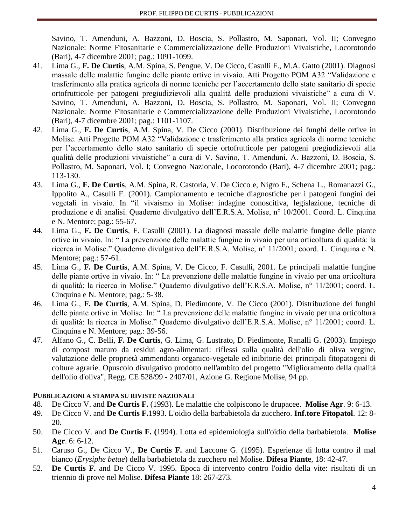Savino, T. Amenduni, A. Bazzoni, D. Boscia, S. Pollastro, M. Saponari, Vol. II; Convegno Nazionale: Norme Fitosanitarie e Commercializzazione delle Produzioni Vivaistiche, Locorotondo (Bari), 4-7 dicembre 2001; pag.: 1091-1099.

- 41. Lima G., **F. De Curtis**, A.M. Spina, S. Pengue, V. De Cicco, Casulli F., M.A. Gatto (2001). Diagnosi massale delle malattie fungine delle piante ortive in vivaio. Atti Progetto POM A32 "Validazione e trasferimento alla pratica agricola di norme tecniche per l'accertamento dello stato sanitario di specie ortofrutticole per patogeni pregiudizievoli alla qualità delle produzioni vivaistiche" a cura di V. Savino, T. Amenduni, A. Bazzoni, D. Boscia, S. Pollastro, M. Saponari, Vol. II; Convegno Nazionale: Norme Fitosanitarie e Commercializzazione delle Produzioni Vivaistiche, Locorotondo (Bari), 4-7 dicembre 2001; pag.: 1101-1107.
- 42. Lima G., **F. De Curtis**, A.M. Spina, V. De Cicco (2001). Distribuzione dei funghi delle ortive in Molise. Atti Progetto POM A32 "Validazione e trasferimento alla pratica agricola di norme tecniche per l'accertamento dello stato sanitario di specie ortofrutticole per patogeni pregiudizievoli alla qualità delle produzioni vivaistiche" a cura di V. Savino, T. Amenduni, A. Bazzoni, D. Boscia, S. Pollastro, M. Saponari, Vol. I; Convegno Nazionale, Locorotondo (Bari), 4-7 dicembre 2001; pag.: 113-130.
- 43. Lima G., **F. De Curtis**, A.M. Spina, R. Castoria, V. De Cicco e, Nigro F., Schena L., Romanazzi G., Ippolito A., Casulli F. (2001). Campionamento e tecniche diagnostiche per i patogeni fungini dei vegetali in vivaio. In "il vivaismo in Molise: indagine conoscitiva, legislazione, tecniche di produzione e di analisi. Quaderno divulgativo dell'E.R.S.A. Molise, n° 10/2001. Coord. L. Cinquina e N. Mentore; pag.: 55-67.
- 44. Lima G., **F. De Curtis**, F. Casulli (2001). La diagnosi massale delle malattie fungine delle piante ortive in vivaio. In: " La prevenzione delle malattie fungine in vivaio per una orticoltura di qualità: la ricerca in Molise." Quaderno divulgativo dell'E.R.S.A. Molise, n° 11/2001; coord. L. Cinquina e N. Mentore; pag.: 57-61.
- 45. Lima G., **F. De Curtis**, A.M. Spina, V. De Cicco, F. Casulli, 2001. Le principali malattie fungine delle piante ortive in vivaio. In: " La prevenzione delle malattie fungine in vivaio per una orticoltura di qualità: la ricerca in Molise." Quaderno divulgativo dell'E.R.S.A. Molise, n° 11/2001; coord. L. Cinquina e N. Mentore; pag.: 5-38.
- 46. Lima G., **F. De Curtis**, A.M. Spina, D. Piedimonte, V. De Cicco (2001). Distribuzione dei funghi delle piante ortive in Molise. In: " La prevenzione delle malattie fungine in vivaio per una orticoltura di qualità: la ricerca in Molise." Quaderno divulgativo dell'E.R.S.A. Molise, n° 11/2001; coord. L. Cinquina e N. Mentore; pag.: 39-56.
- 47. Alfano G., C. Belli, **F. De Curtis**, G. Lima, G. Lustrato, D. Piedimonte, Ranalli G. (2003). Impiego di compost maturo da residui agro-alimentari: riflessi sulla qualità dell'olio di oliva vergine, valutazione delle proprietà ammendanti organico-vegetale ed inibitorie dei principali fitopatogeni di colture agrarie. Opuscolo divulgativo prodotto nell'ambito del progetto "Miglioramento della qualità dell'olio d'oliva", Regg. CE 528/99 - 2407/01, Azione G. Regione Molise, 94 pp.

# **PUBBLICAZIONI A STAMPA SU RIVISTE NAZIONALI**

- 48. De Cicco V. and **De Curtis F.** (1993). Le malattie che colpiscono le drupacee. **Molise Agr**. 9: 6-13.
- 49. De Cicco V. and **De Curtis F.**1993. L'oidio della barbabietola da zucchero. **Inf.tore Fitopatol**. 12: 8- 20.
- 50. De Cicco V. and **De Curtis F. (**1994). Lotta ed epidemiologia sull'oidio della barbabietola. **Molise Agr**. 6: 6-12.
- 51. Caruso G., De Cicco V., **De Curtis F.** and Laccone G. (1995). Esperienze di lotta contro il mal bianco (*Erysiphe betae*) della barbabietola da zucchero nel Molise. **Difesa Piante**, 18: 42-47.
- 52. **De Curtis F.** and De Cicco V. 1995. Epoca di intervento contro l'oidio della vite: risultati di un triennio di prove nel Molise. **Difesa Piante** 18: 267-273.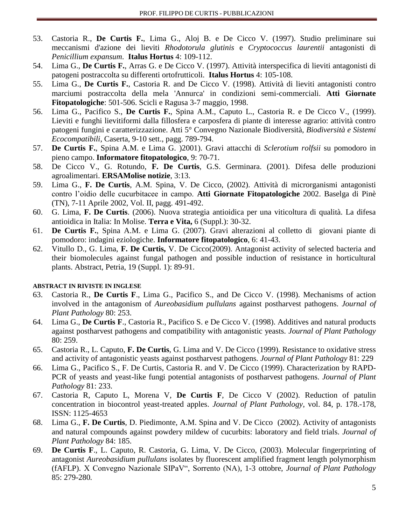- 53. Castoria R., **De Curtis F.**, Lima G., Aloj B. e De Cicco V. (1997). Studio preliminare sui meccanismi d'azione dei lieviti *Rhodotorula glutinis* e *Cryptococcus laurentii* antagonisti di *Penicillium expansum*. **Italus Hortus** 4: 109-112.
- 54. Lima G., **De Curtis F.**, Arras G. e De Cicco V. (1997). Attività interspecifica di lieviti antagonisti di patogeni postraccolta su differenti ortofrutticoli. **Italus Hortus** 4: 105-108.
- 55. Lima G., **De Curtis F.**, Castoria R. and De Cicco V. (1998). Attività di lieviti antagonisti contro marciumi postraccolta della mela 'Annurca' in condizioni semi-commerciali. **Atti Giornate Fitopatologiche**: 501-506. Scicli e Ragusa 3-7 maggio, 1998.
- 56. Lima G., Pacifico S., **De Curtis F.**, Spina A.M., Caputo L., Castoria R. e De Cicco V., (1999). Lieviti e funghi lievitiformi dalla fillosfera e carposfera di piante di interesse agrario: attività contro patogeni fungini e caratterizzazione. Atti 5° Convegno Nazionale Biodiversità, *Biodiversità e Sistemi Ecocompatibili,* Caserta, 9-10 sett., pagg. 789-794.
- 57. **De Curtis F.**, Spina A.M. e Lima G. )2001). Gravi attacchi di *Sclerotium rolfsii* su pomodoro in pieno campo. **Informatore fitopatologico**, 9: 70-71.
- 58. De Cicco V., G. Rotundo, **F. De Curtis**, G.S. Germinara. (2001). Difesa delle produzioni agroalimentari. **ERSAMolise notizie**, 3:13.
- 59. Lima G., **F. De Curtis**, A.M. Spina, V. De Cicco, (2002). Attività di microrganismi antagonisti contro l'oidio delle cucurbitacee in campo. **Atti Giornate Fitopatologiche** 2002. Baselga di Pinè (TN), 7-11 Aprile 2002, Vol. II, pagg. 491-492.
- 60. G. Lima, **F. De Curtis**. (2006). Nuova strategia antioidica per una viticoltura di qualità. La difesa antioidica in Italia: In Molise. **Terra e Vita,** 6 (Suppl.): 30-32.
- 61. **De Curtis F.**, Spina A.M. e Lima G. (2007). Gravi alterazioni al colletto di giovani piante di pomodoro: indagini eziologiche. **Informatore fitopatologico**, 6: 41-43.
- 62. Vitullo D., G. Lima, **F. De Curtis,** V. De Cicco(2009). Antagonist activity of selected bacteria and their biomolecules against fungal pathogen and possible induction of resistance in horticultural plants. Abstract, Petria, 19 (Suppl. 1): 89-91.

#### **ABSTRACT IN RIVISTE IN INGLESE**

- 63. Castoria R., **De Curtis F**., Lima G., Pacifico S., and De Cicco V. (1998). Mechanisms of action involved in the antagonism of *Aureobasidium pullulans* against postharvest pathogens. *Journal of Plant Pathology* 80: 253.
- 64. Lima G., **De Curtis F**., Castoria R., Pacifico S. e De Cicco V. (1998). Additives and natural products against postharvest pathogens and compatibility with antagonistic yeasts. *Journal of Plant Pathology* 80: 259.
- 65. Castoria R., L. Caputo, **F. De Curtis**, G. Lima and V. De Cicco (1999). Resistance to oxidative stress and activity of antagonistic yeasts against postharvest pathogens. *Journal of Plant Pathology* 81: 229
- 66. Lima G., Pacifico S., F. De Curtis, Castoria R. and V. De Cicco (1999). Characterization by RAPD-PCR of yeasts and yeast-like fungi potential antagonists of postharvest pathogens. *Journal of Plant Pathology* 81: 233.
- 67. Castoria R, Caputo L, Morena V, **De Curtis F**, De Cicco V (2002). Reduction of patulin concentration in biocontrol yeast-treated apples. *Journal of Plant Pathology*, vol. 84, p. 178.-178, ISSN: 1125-4653
- 68. Lima G., **F. De Curtis**, D. Piedimonte, A.M. Spina and V. De Cicco (2002). Activity of antagonists and natural compounds against powdery mildew of cucurbits: laboratory and field trials. *Journal of Plant Pathology* 84: 185.
- 69. **De Curtis F**., L. Caputo, R. Castoria, G. Lima, V. De Cicco, (2003). Molecular fingerprinting of antagonist *Aureobasidium pullulans* isolates by fluorescent amplified fragment length polymorphism (fAFLP). X Convegno Nazionale SIPaV", Sorrento (NA), 1-3 ottobre, *Journal of Plant Pathology*  85: 279-280*.*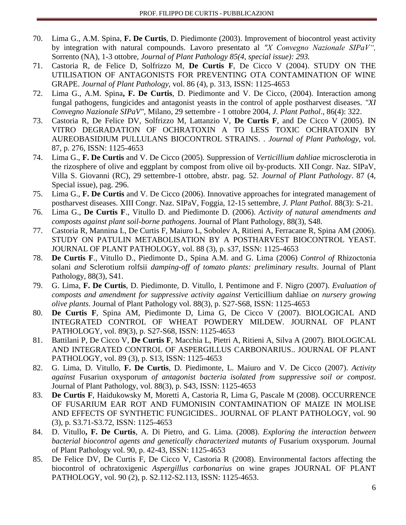- 70. Lima G., A.M. Spina, **F. De Curtis**, D. Piedimonte (2003). Improvement of biocontrol yeast activity by integration with natural compounds. Lavoro presentato al *"X Convegno Nazionale SIPaV",*  Sorrento (NA), 1-3 ottobre, *Journal of Plant Pathology 85(4, special issue): 293.*
- 71. Castoria R, de Felice D, Solfrizzo M, **De Curtis F**, De Cicco V (2004). STUDY ON THE UTILISATION OF ANTAGONISTS FOR PREVENTING OTA CONTAMINATION OF WINE GRAPE. *Journal of Plant Pathology*, vol. 86 (4), p. 313, ISSN: 1125-4653
- 72. Lima G., A.M. Spina**, F. De Curtis**, D. Piedimonte and V. De Cicco, (2004). Interaction among fungal pathogens, fungicides and antagonist yeasts in the control of apple postharvest diseases. *"XI Convegno Nazionale SIPaV",* Milano, 29 settembre - 1 ottobre 2004, *J. Plant Pathol*., 86(4): 322.
- 73. Castoria R, De Felice DV, Solfrizzo M, Lattanzio V, **De Curtis F**, and De Cicco V (2005). IN VITRO DEGRADATION OF OCHRATOXIN A TO LESS TOXIC OCHRATOXIN BY AUREOBASIDIUM PULLULANS BIOCONTROL STRAINS. . *Journal of Plant Pathology*, vol. 87, p. 276, ISSN: 1125-4653
- 74. Lima G., **F. De Curtis** and V. De Cicco (2005). Suppression of *Verticillium dahliae* microsclerotia in the rizosphere of olive and eggplant by compost from olive oil by-products. XII Congr. Naz. SIPaV, Villa S. Giovanni (RC), 29 settembre-1 ottobre, abstr. pag. 52. *Journal of Plant Pathology*. 87 (4, Special issue), pag. 296.
- 75. Lima G., **F. De Curtis** and V. De Cicco (2006). Innovative approaches for integrated management of postharvest diseases. XIII Congr. Naz. SIPaV, Foggia, 12-15 settembre, *J. Plant Pathol*. 88(3): S-21.
- 76. Lima G., **De Curtis F**., Vitullo D. and Piedimonte D. (2006). *Activity of natural amendments and composts against plant soil-borne pathogens*. Journal of Plant Pathology, 88(3), S48.
- 77. Castoria R, Mannina L, De Curtis F, Maiuro L, Sobolev A, Ritieni A, Ferracane R, Spina AM (2006). STUDY ON PATULIN METABOLISATION BY A POSTHARVEST BIOCONTROL YEAST. JOURNAL OF PLANT PATHOLOGY, vol. 88 (3), p. s37, ISSN: 1125-4653
- 78. **De Curtis F**., Vitullo D., Piedimonte D., Spina A.M. and G. Lima (2006) *Control of* Rhizoctonia solani *and* Sclerotium rolfsii *damping-off of tomato plants: preliminary results*. Journal of Plant Pathology, 88(3), S41.
- 79. G. Lima, **F. De Curtis**, D. Piedimonte, D. Vitullo, I. Pentimone and F. Nigro (2007). *Evaluation of composts and amendment for suppressive activity against* Verticillium dahliae *on nursery growing olive plants*. Journal of Plant Pathology vol. 88(3), p. S27-S68, ISSN: 1125-4653
- 80. **De Curtis F**, Spina AM, Piedimonte D, Lima G, De Cicco V (2007). BIOLOGICAL AND INTEGRATED CONTROL OF WHEAT POWDERY MILDEW. JOURNAL OF PLANT PATHOLOGY, vol. 89(3), p. S27-S68, ISSN: 1125-4653
- 81. Battilani P, De Cicco V, **De Curtis F**, Macchia L, Pietri A, Ritieni A, Silva A (2007). BIOLOGICAL AND INTEGRATED CONTROL OF ASPERGILLUS CARBONARIUS.. JOURNAL OF PLANT PATHOLOGY, vol. 89 (3), p. S13, ISSN: 1125-4653
- 82. G. Lima, D. Vitullo, **F. De Curtis**, D. Piedimonte, L. Maiuro and V. De Cicco (2007). *Activity against* Fusariun oxysporum *of antagonist bacteria isolated from suppressive soil or compost*. Journal of Plant Pathology, vol. 88(3), p. S43, ISSN: 1125-4653
- 83. **De Curtis F**, Haidukowsky M, Moretti A, Castoria R, Lima G, Pascale M (2008). OCCURRENCE OF FUSARIUM EAR ROT AND FUMONISIN CONTAMINATION OF MAIZE IN MOLISE AND EFFECTS OF SYNTHETIC FUNGICIDES.. JOURNAL OF PLANT PATHOLOGY, vol. 90 (3), p. S3.71-S3.72, ISSN: 1125-4653
- 84. D. Vitullo**, F. De Curtis**, A. Di Pietro, and G. Lima. (2008). *Exploring the interaction between bacterial biocontrol agents and genetically characterized mutants of* Fusarium oxysporum*.* Journal of Plant Pathology vol. 90, p. 42-43, ISSN: 1125-4653
- 85. De Felice DV, De Curtis F, De Cicco V, Castoria R (2008). Environmental factors affecting the biocontrol of ochratoxigenic *Aspergillus carbonarius* on wine grapes JOURNAL OF PLANT PATHOLOGY, vol. 90 (2), p. S2.112-S2.113, ISSN: 1125-4653.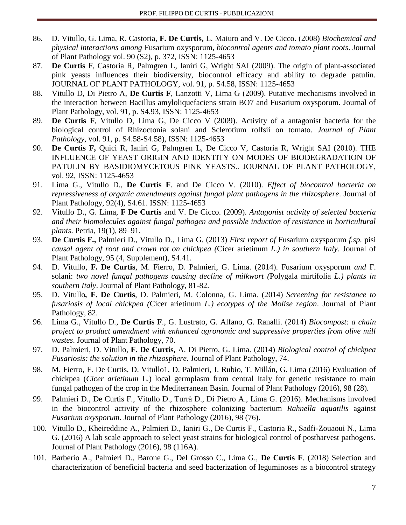- 86. D. Vitullo, G. Lima, R. Castoria, **F. De Curtis,** L. Maiuro and V. De Cicco. (2008) *Biochemical and physical interactions among* Fusarium oxysporum*, biocontrol agents and tomato plant roots*. Journal of Plant Pathology vol. 90 (S2), p. 372, ISSN: 1125-4653
- 87. **De Curtis** F, Castoria R, Palmgren L, Ianiri G, Wright SAI (2009). The origin of plant-associated pink yeasts influences their biodiversity, biocontrol efficacy and ability to degrade patulin. JOURNAL OF PLANT PATHOLOGY, vol. 91, p. S4.58, ISSN: 1125-4653
- 88. Vitullo D, Di Pietro A, **De Curtis F**, Lanzotti V, Lima G (2009). Putative mechanisms involved in the interaction between Bacillus amyloliquefaciens strain BO7 and Fusarium oxysporum. Journal of Plant Pathology, vol. 91, p. S4.93, ISSN: 1125-4653
- 89. **De Curtis F**, Vitullo D, Lima G, De Cicco V (2009). Activity of a antagonist bacteria for the biological control of Rhizoctonia solani and Sclerotium rolfsii on tomato. *Journal of Plant Pathology*, vol. 91, p. S4.58-S4.58), ISSN: 1125-4653
- 90. **De Curtis F,** Quici R, Ianiri G, Palmgren L, De Cicco V, Castoria R, Wright SAI (2010). THE INFLUENCE OF YEAST ORIGIN AND IDENTITY ON MODES OF BIODEGRADATION OF PATULIN BY BASIDIOMYCETOUS PINK YEASTS.. JOURNAL OF PLANT PATHOLOGY, vol. 92, ISSN: 1125-4653
- 91. Lima G., Vitullo D., **De Curtis F**. and De Cicco V. (2010). *Effect of biocontrol bacteria on repressiveness of organic amendments against fungal plant pathogens in the rhizosphere*. Journal of Plant Pathology, 92(4), S4.61. ISSN: 1125-4653
- 92. Vitullo D., G. Lima, **F De Curtis** and V. De Cicco. (2009). *Antagonist activity of selected bacteria and their biomolecules against fungal pathogen and possible induction of resistance in horticultural plants*. Petria, 19(1), 89–91.
- 93. **De Curtis F.,** Palmieri D., Vitullo D., Lima G. (2013) *First report of* Fusarium oxysporum *f.sp.* pisi *causal agent of root and crown rot on chickpea (*Cicer arietinum *L.) in southern Italy.* Journal of Plant Pathology, 95 (4, Supplement), S4.41.
- 94. D. Vitullo, **F. De Curtis**, M. Fierro, D. Palmieri, G. Lima. (2014). Fusarium oxysporum *and* F. solani: *two novel fungal pathogens causing decline of milkwort (*Polygala mirtifolia *L.) plants in southern Italy*. Journal of Plant Pathology, 81-82.
- 95. D. Vitullo*,* **F. De Curtis**, D. Palmieri, M. Colonna, G. Lima. (2014) *Screening for resistance to fusariosis of local chickpea (*Cicer arietinum *L.) ecotypes of the Molise region*. Journal of Plant Pathology, 82.
- 96. Lima G., Vitullo D*.*, **De Curtis F**., G. Lustrato, G. Alfano, G. Ranalli. (2014) *Biocompost: a chain project to product amendment with enhanced agronomic and suppressive properties from olive mill wastes*. Journal of Plant Pathology, 70.
- 97. D. Palmieri, D. Vitullo, **F. De Curtis,** A. Di Pietro, G. Lima. (2014) *Biological control of chickpea Fusariosis: the solution in the rhizosphere*. Journal of Plant Pathology, 74.
- 98. M. Fierro, F. De Curtis, D. Vitullo1, D. Palmieri, J. Rubio, T. Millán, G. Lima (2016) Evaluation of chickpea (*Cicer arietinum* L.) local germplasm from central Italy for genetic resistance to main fungal pathogen of the crop in the Mediterranean Basin. Journal of Plant Pathology (2016), 98 (28).
- 99. Palmieri D., De Curtis F., Vitullo D., Turrà D., Di Pietro A., Lima G. (2016). Mechanisms involved in the biocontrol activity of the rhizosphere colonizing bacterium *Rahnella aquatilis* against *Fusarium oxysporum*. Journal of Plant Pathology (2016), 98 (76).
- 100. Vitullo D., Kheireddine A., Palmieri D., Ianiri G., De Curtis F., Castoria R., Sadfi-Zouaoui N., Lima G. (2016) A lab scale approach to select yeast strains for biological control of postharvest pathogens. Journal of Plant Pathology (2016), 98 (116A).
- 101. Barberio A., Palmieri D., Barone G., Del Grosso C., Lima G., **De Curtis F**. (2018) Selection and characterization of beneficial bacteria and seed bacterization of leguminoses as a biocontrol strategy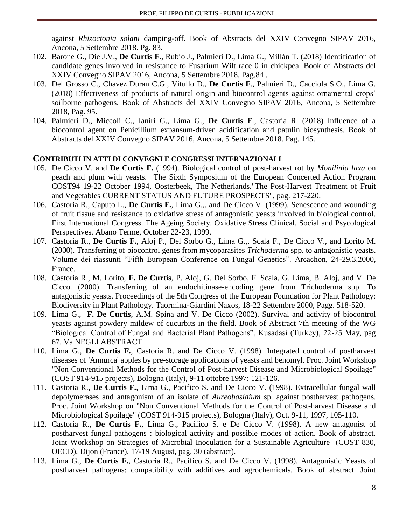against *Rhizoctonia solani* damping-off. Book of Abstracts del XXIV Convegno SIPAV 2016, Ancona, 5 Settembre 2018. Pg. 83.

- 102. Barone G., Die J.V., **De Curtis F**., Rubio J., Palmieri D., Lima G., Millàn T. (2018) Identification of candidate genes involved in resistance to Fusarium Wilt race 0 in chickpea. Book of Abstracts del XXIV Convegno SIPAV 2016, Ancona, 5 Settembre 2018, Pag.84 .
- 103. Del Grosso C., Chavez Duran C.G., Vitullo D., **De Curtis F**., Palmieri D., Cacciola S.O., Lima G. (2018) Effectiveness of products of natural origin and biocontrol agents against ornamental crops' soilborne pathogens. Book of Abstracts del XXIV Convegno SIPAV 2016, Ancona, 5 Settembre 2018, Pag. 95.
- 104. Palmieri D., Miccoli C., Ianiri G., Lima G., **De Curtis F**., Castoria R. (2018) Influence of a biocontrol agent on Penicillium expansum-driven acidification and patulin biosynthesis. Book of Abstracts del XXIV Convegno SIPAV 2016, Ancona, 5 Settembre 2018. Pag. 145.

#### **C[ONTRIBUTI IN ATTI DI](http://alessandria.cineca.it/index.php/home/cerca/class/273/ordine/class) CONVEGNI E CONGRESSI INTERNAZIONALI**

- 105. De Cicco V. and **De Curtis F.** (1994). Biological control of post-harvest rot by *Monilinia laxa* on peach and plum with yeasts. The Sixth Symposium of the European Concerted Action Program COST94 19-22 October 1994, Oosterbeek, The Netherlands."The Post-Harvest Treatment of Fruit and Vegetables CURRENT STATUS AND FUTURE PROSPECTS", pag. 217-220.
- 106. Castoria R., Caputo L., **De Curtis F.**, Lima G.,. and De Cicco V. (1999). Senescence and wounding of fruit tissue and resistance to oxidative stress of antagonistic yeasts involved in biological control. First International Congress. The Ageing Society. Oxidative Stress Clinical, Social and Psycological Perspectives. Abano Terme, October 22-23, 1999.
- 107. Castoria R., **De Curtis F.**, Aloj P., Del Sorbo G., Lima G.,. Scala F., De Cicco V., and Lorito M. (2000). Transferring of biocontrol genes from mycoparasites *Trichoderma* spp. to antagonistic yeasts. Volume dei riassunti "Fifth European Conference on Fungal Genetics". Arcachon, 24-29.3.2000, France.
- 108. Castoria R., M. Lorito, **F. De Curtis**, P. Aloj, G. Del Sorbo, F. Scala, G. Lima, B. Aloj, and V. De Cicco. (2000). Transferring of an endochitinase-encoding gene from Trichoderma spp. To antagonistic yeasts. Proceedings of the 5th Congress of the European Foundation for Plant Pathology: Biodiversity in Plant Pathology. Taormina-Giardini Naxos, 18-22 Settembre 2000, Pagg. 518-520.
- 109. Lima G., **F. De Curtis**, A.M. Spina and V. De Cicco (2002). Survival and activity of biocontrol yeasts against powdery mildew of cucurbits in the field. Book of Abstract 7th meeting of the WG "Biological Control of Fungal and Bacterial Plant Pathogens", Kusadasi (Turkey), 22-25 May, pag 67. Va NEGLI ABSTRACT
- 110. Lima G., **De Curtis F.**, Castoria R. and De Cicco V. (1998). Integrated control of postharvest diseases of 'Annurca' apples by pre-storage applications of yeasts and benomyl. Proc. Joint Workshop "Non Conventional Methods for the Control of Post-harvest Disease and Microbiological Spoilage" (COST 914-915 projects), Bologna (Italy), 9-11 ottobre 1997: 121-126.
- 111. Castoria R., **De Curtis F.**, Lima G., Pacifico S. and De Cicco V. (1998). Extracellular fungal wall depolymerases and antagonism of an isolate of *Aureobasidium* sp. against postharvest pathogens. Proc. Joint Workshop on "Non Conventional Methods for the Control of Post-harvest Disease and Microbiological Spoilage" (COST 914-915 projects), Bologna (Italy), Oct. 9-11, 1997, 105-110.
- 112. Castoria R., **De Curtis F.**, Lima G., Pacifico S. e De Cicco V. (1998). A new antagonist of postharvest fungal pathogens : biological activity and possible modes of action. Book of abstract. Joint Workshop on Strategies of Microbial Inoculation for a Sustainable Agriculture (COST 830, OECD), Dijon (France), 17-19 August, pag. 30 (abstract).
- 113. Lima G., **De Curtis F.**, Castoria R., Pacifico S. and De Cicco V. (1998). Antagonistic Yeasts of postharvest pathogens: compatibility with additives and agrochemicals. Book of abstract. Joint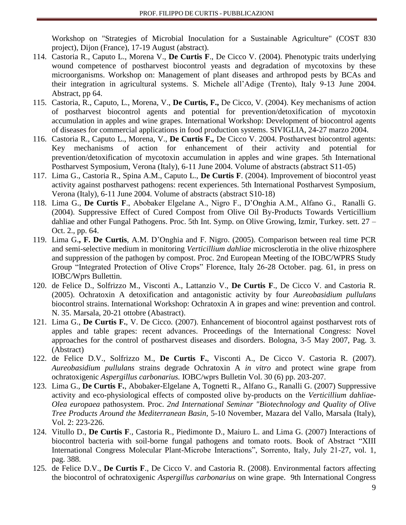Workshop on "Strategies of Microbial Inoculation for a Sustainable Agriculture" (COST 830 project), Dijon (France), 17-19 August (abstract).

- 114. Castoria R., Caputo L., Morena V., **De Curtis F**., De Cicco V. (2004). Phenotypic traits underlying wound competence of postharvest biocontrol yeasts and degradation of mycotoxins by these microorganisms. Workshop on: Management of plant diseases and arthropod pests by BCAs and their integration in agricultural systems. S. Michele all'Adige (Trento), Italy 9-13 June 2004. Abstract, pp 64.
- 115. Castoria, R., Caputo, L., Morena, V., **De Curtis, F.,** De Cicco, V. (2004). Key mechanisms of action of postharvest biocontrol agents and potential for prevention/detoxification of mycotoxin accumulation in apples and wine grapes. International Workshop: Development of biocontrol agents of diseases for commercial applications in food production systems. SIVIGLIA, 24-27 marzo 2004.
- 116. Castoria R., Caputo L., Morena, V., **De Curtis F.,** De Cicco V. 2004. Postharvest biocontrol agents: Key mechanisms of action for enhancement of their activity and potential for prevention/detoxification of mycotoxin accumulation in apples and wine grapes. 5th International Postharvest Symposium, Verona (Italy), 6-11 June 2004. Volume of abstracts (abstract S11-05)
- 117. Lima G., Castoria R., Spina A.M., Caputo L., **De Curtis F**. (2004). Improvement of biocontrol yeast activity against postharvest pathogens: recent experiences. 5th International Postharvest Symposium, Verona (Italy), 6-11 June 2004. Volume of abstracts (abstract S10-18)
- 118. Lima G., **De Curtis F**., Abobaker Elgelane A., Nigro F., D'Onghia A.M., Alfano G., Ranalli G. (2004). Suppressive Effect of Cured Compost from Olive Oil By-Products Towards Verticillium dahliae and other Fungal Pathogens. Proc. 5th Int. Symp. on Olive Growing, Izmir, Turkey. sett. 27 – Oct. 2., pp. 64.
- 119. Lima G.**, F. De Curtis**, A.M. D'Onghia and F. Nigro. (2005). Comparison between real time PCR and semi-selective medium in monitoring *Verticillium dahliae* microsclerotia in the olive rhizosphere and suppression of the pathogen by compost. Proc. 2nd European Meeting of the IOBC/WPRS Study Group "Integrated Protection of Olive Crops" Florence, Italy 26-28 October. pag. 61, in press on IOBC/Wprs Bullettin.
- 120. de Felice D., Solfrizzo M., Visconti A., Lattanzio V., **De Curtis F**., De Cicco V. and Castoria R. (2005). Ochratoxin A detoxification and antagonistic activity by four *Aureobasidium pullulans*  biocontrol strains. International Workshop: Ochratoxin A in grapes and wine: prevention and control. N. 35. Marsala, 20-21 ottobre (Abastract).
- 121. Lima G., **De Curtis F.**, V. De Cicco. (2007). Enhancement of biocontrol against postharvest rots of apples and table grapes: recent advances. Proceedings of the International Congress: Novel approaches for the control of postharvest diseases and disorders. Bologna, 3-5 May 2007, Pag. 3. (Abstract)
- 122. de Felice D.V., Solfrizzo M., **De Curtis F.**, Visconti A., De Cicco V. Castoria R. (2007). *Aureobasidium pullulans* strains degrade Ochratoxin A *in vitro* and protect wine grape from ochratoxigenic *Aspergillus carbonarius.* IOBC/wprs Bulletin Vol. 30 (6) pp. 203-207.
- 123. Lima G., **De Curtis F.**, Abobaker-Elgelane A, Tognetti R., Alfano G., Ranalli G. (2007) Suppressive activity and eco-physiological effects of composted olive by-products on the *Verticillium dahliae-Olea europaea* pathosystem. Proc. *2nd International Seminar "Biotechnology and Quality of Olive Tree Products Around the Mediterranean Basin*, 5-10 November, Mazara del Vallo, Marsala (Italy), Vol. 2: 223-226.
- 124. Vitullo D., **De Curtis F**., Castoria R., Piedimonte D., Maiuro L. and Lima G. (2007) Interactions of biocontrol bacteria with soil-borne fungal pathogens and tomato roots. Book of Abstract "XIII International Congress Molecular Plant-Microbe Interactions", Sorrento, Italy, July 21-27, vol. 1, pag. 388.
- 125. de Felice D.V., **De Curtis F**., De Cicco V. and Castoria R. (2008). Environmental factors affecting the biocontrol of ochratoxigenic *Aspergillus carbonarius* on wine grape. 9th International Congress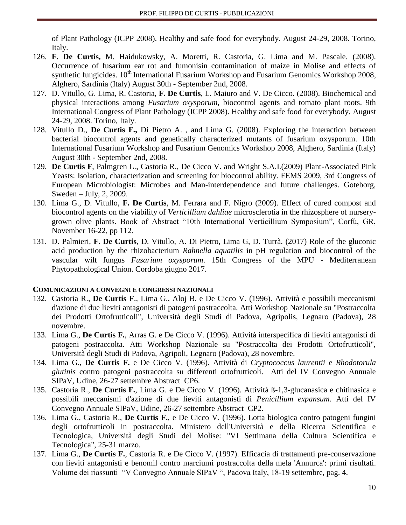of Plant Pathology (ICPP 2008). Healthy and safe food for everybody. August 24-29, 2008. Torino, Italy.

- 126. **F. De Curtis,** M. Haidukowsky, A. Moretti, R. Castoria, G. Lima and M. Pascale. (2008). Occurrence of fusarium ear rot and fumonisin contamination of maize in Molise and effects of synthetic fungicides.  $10^{th}$  International Fusarium Workshop and Fusarium Genomics Workshop 2008, Alghero, Sardinia (Italy) August 30th - September 2nd, 2008.
- 127. D. Vitullo, G. Lima, R. Castoria, **F. De Curtis**, L. Maiuro and V. De Cicco. (2008). Biochemical and physical interactions among *Fusarium oxysporum*, biocontrol agents and tomato plant roots. 9th International Congress of Plant Pathology (ICPP 2008). Healthy and safe food for everybody. August 24-29, 2008. Torino, Italy.
- 128. Vitullo D., **De Curtis F.,** Di Pietro A. , and Lima G. (2008). Exploring the interaction between bacterial biocontrol agents and genetically characterized mutants of fusarium oxysporum. 10th International Fusarium Workshop and Fusarium Genomics Workshop 2008, Alghero, Sardinia (Italy) August 30th - September 2nd, 2008.
- 129. **De Curtis F**, Palmgren L., Castoria R., De Cicco V. and Wright S.A.I.(2009) Plant-Associated Pink Yeasts: Isolation, characterization and screening for biocontrol ability. FEMS 2009, 3rd Congress of European Microbiologist: Microbes and Man-interdependence and future challenges. Goteborg, Sweden – July, 2, 2009.
- 130. Lima G., D. Vitullo, **F. De Curtis**, M. Ferrara and F. Nigro (2009). Effect of cured compost and biocontrol agents on the viability of *Verticillium dahliae* microsclerotia in the rhizosphere of nurserygrown olive plants. Book of Abstract "10th International Verticillium Symposium", Corfù, GR, November 16-22, pp 112.
- 131. D. Palmieri, **F. De Curtis**, D. Vitullo, A. Di Pietro, Lima G, D. Turrà. (2017) Role of the gluconic acid production by the rhizobacterium *Rahnella aquatilis* in pH regulation and biocontrol of the vascular wilt fungus *Fusarium oxysporum*. 15th Congress of the MPU - Mediterranean Phytopathological Union. Cordoba giugno 2017.

# **COMUNICAZIONI A CONVEGNI E CONGRESSI NAZIONALI**

- 132. Castoria R., **De Curtis F**., Lima G., Aloj B. e De Cicco V. (1996). Attività e possibili meccanismi d'azione di due lieviti antagonisti di patogeni postraccolta. Atti Workshop Nazionale su "Postraccolta dei Prodotti Ortofrutticoli", Università degli Studi di Padova, Agripolis, Legnaro (Padova), 28 novembre.
- 133. Lima G., **De Curtis F.**, Arras G. e De Cicco V. (1996). Attività interspecifica di lieviti antagonisti di patogeni postraccolta. Atti Workshop Nazionale su "Postraccolta dei Prodotti Ortofrutticoli", Università degli Studi di Padova, Agripoli, Legnaro (Padova), 28 novembre.
- 134. Lima G., **De Curtis F.** e De Cicco V. (1996). Attività di *Cryptococcus laurentii* e *Rhodotorula glutinis* contro patogeni postraccolta su differenti ortofrutticoli. Atti del IV Convegno Annuale SIPaV, Udine, 26-27 settembre Abstract CP6.
- 135. Castoria R., **De Curtis F.**, Lima G. e De Cicco V. (1996). Attività ß-1,3-glucanasica e chitinasica e possibili meccanismi d'azione di due lieviti antagonisti di *Penicillium expansum*. Atti del IV Convegno Annuale SIPaV, Udine, 26-27 settembre Abstract CP2.
- 136. Lima G., Castoria R., **De Curtis F.**, e De Cicco V. (1996). Lotta biologica contro patogeni fungini degli ortofrutticoli in postraccolta. Ministero dell'Università e della Ricerca Scientifica e Tecnologica, Università degli Studi del Molise: "VI Settimana della Cultura Scientifica e Tecnologica", 25-31 marzo.
- 137. Lima G., **De Curtis F.**, Castoria R. e De Cicco V. (1997). Efficacia di trattamenti pre-conservazione con lieviti antagonisti e benomil contro marciumi postraccolta della mela 'Annurca': primi risultati. Volume dei riassunti "V Convegno Annuale SIPaV ", Padova Italy, 18-19 settembre, pag. 4.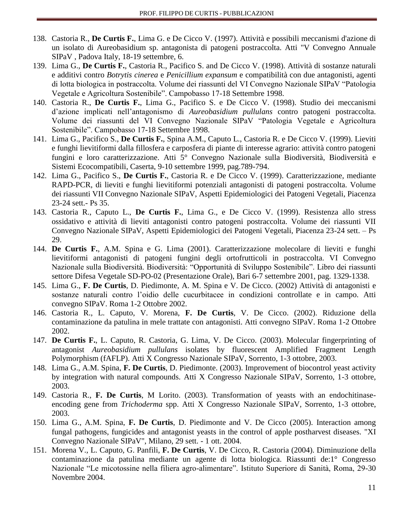- 138. Castoria R., **De Curtis F.**, Lima G. e De Cicco V. (1997). Attività e possibili meccanismi d'azione di un isolato di Aureobasidium sp. antagonista di patogeni postraccolta. Atti "V Convegno Annuale SIPaV , Padova Italy, 18-19 settembre, 6.
- 139. Lima G., **De Curtis F.**, Castoria R., Pacifico S. and De Cicco V. (1998). Attività di sostanze naturali e additivi contro *Botrytis cinerea* e *Penicillium expansum* e compatibilità con due antagonisti, agenti di lotta biologica in postraccolta. Volume dei riassunti del VI Convegno Nazionale SIPaV "Patologia Vegetale e Agricoltura Sostenibile". Campobasso 17-18 Settembre 1998.
- 140. Castoria R., **De Curtis F.**, Lima G., Pacifico S. e De Cicco V. (1998). Studio dei meccanismi d'azione implicati nell'antagonismo di *Aureobasidium pullulans* contro patogeni postraccolta. Volume dei riassunti del VI Convegno Nazionale SIPaV "Patologia Vegetale e Agricoltura Sostenibile". Campobasso 17-18 Settembre 1998.
- 141. Lima G., Pacifico S., **De Curtis F.**, Spina A.M., Caputo L., Castoria R. e De Cicco V. (1999). Lieviti e funghi lievitiformi dalla fillosfera e carposfera di piante di interesse agrario: attività contro patogeni fungini e loro caratterizzazione. Atti 5° Convegno Nazionale sulla Biodiversità, Biodiversità e Sistemi Ecocompatibili, Caserta, 9-10 settembre 1999, pag.789-794.
- 142. Lima G., Pacifico S., **De Curtis F.**, Castoria R. e De Cicco V. (1999). Caratterizzazione, mediante RAPD-PCR, di lieviti e funghi lievitiformi potenziali antagonisti di patogeni postraccolta. Volume dei riassunti VII Convegno Nazionale SIPaV, Aspetti Epidemiologici dei Patogeni Vegetali, Piacenza 23-24 sett.- Ps 35.
- 143. Castoria R., Caputo L., **De Curtis F.**, Lima G., e De Cicco V. (1999). Resistenza allo stress ossidativo e attività di lieviti antagonisti contro patogeni postraccolta. Volume dei riassunti VII Convegno Nazionale SIPaV, Aspetti Epidemiologici dei Patogeni Vegetali, Piacenza 23-24 sett. – Ps 29.
- 144. **De Curtis F.**, A.M. Spina e G. Lima (2001). Caratterizzazione molecolare di lieviti e funghi lievitiformi antagonisti di patogeni fungini degli ortofrutticoli in postraccolta. VI Convegno Nazionale sulla Biodiversità. Biodiversità: "Opportunità di Sviluppo Sostenibile". Libro dei riassunti settore Difesa Vegetale SD-PO-02 (Presentazione Orale), Bari 6-7 settembre 2001, pag. 1329-1338.
- 145. Lima G., **F. De Curtis**, D. Piedimonte, A. M. Spina e V. De Cicco. (2002) Attività di antagonisti e sostanze naturali contro l'oidio delle cucurbitacee in condizioni controllate e in campo. Atti convegno SIPaV. Roma 1-2 Ottobre 2002.
- 146. Castoria R., L. Caputo, V. Morena, **F. De Curtis**, V. De Cicco. (2002). Riduzione della contaminazione da patulina in mele trattate con antagonisti. Atti convegno SIPaV. Roma 1-2 Ottobre 2002.
- 147. **De Curtis F.**, L. Caputo, R. Castoria, G. Lima, V. De Cicco. (2003). Molecular fingerprinting of antagonist *Aureobasidium pullulans* isolates by fluorescent Amplified Fragment Length Polymorphism (fAFLP). Atti X Congresso Nazionale SIPaV, Sorrento, 1-3 ottobre, 2003.
- 148. Lima G., A.M. Spina, **F. De Curtis**, D. Piedimonte. (2003). Improvement of biocontrol yeast activity by integration with natural compounds. Atti X Congresso Nazionale SIPaV, Sorrento, 1-3 ottobre, 2003.
- 149. Castoria R., **F. De Curtis**, M Lorito. (2003). Transformation of yeasts with an endochitinaseencoding gene from *Trichoderma* spp. Atti X Congresso Nazionale SIPaV, Sorrento, 1-3 ottobre, 2003.
- 150. Lima G., A.M. Spina, **F. De Curtis**, D. Piedimonte and V. De Cicco (2005). Interaction among fungal pathogens, fungicides and antagonist yeasts in the control of apple postharvest diseases. "XI Convegno Nazionale SIPaV", Milano, 29 sett. - 1 ott. 2004.
- 151. Morena V., L. Caputo, G. Panfili, **F. De Curtis**, V. De Cicco, R. Castoria (2004). Diminuzione della contaminazione da patulina mediante un agente di lotta biologica. Riassunti de:1° Congresso Nazionale "Le micotossine nella filiera agro-alimentare". Istituto Superiore di Sanità, Roma, 29-30 Novembre 2004.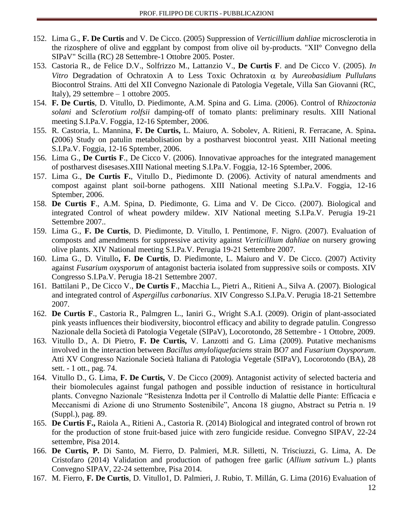- 152. Lima G., **F. De Curtis** and V. De Cicco. (2005) Suppression of *Verticillium dahliae* microsclerotia in the rizosphere of olive and eggplant by compost from olive oil by-products. "XII° Convegno della SIPaV" Scilla (RC) 28 Settembre-1 Ottobre 2005. Poster.
- 153. Castoria R., de Felice D.V., Solfrizzo M., Lattanzio V., **De Curtis F**. and De Cicco V. (2005). *In Vitro* Degradation of Ochratoxin A to Less Toxic Ochratoxin  $\alpha$  by *Aureobasidium Pullulans* Biocontrol Strains. Atti del XII Convegno Nazionale di Patologia Vegetale, Villa San Giovanni (RC, Italy), 29 settembre – 1 ottobre 2005.
- 154. **F. De Curtis**, D. Vitullo, D. Piedimonte, A.M. Spina and G. Lima. (2006). Control of R*hizoctonia solani* and S*clerotium rolfsii* damping-off of tomato plants: preliminary results. XIII National meeting S.I.Pa.V. Foggia, 12-16 Sptember, 2006.
- 155. R. Castoria, L. Mannina, **F. De Curtis,** L. Maiuro, A. Sobolev, A. Ritieni, R. Ferracane, A. Spina**. (**2006) Study on patulin metabolisation by a postharvest biocontrol yeast. XIII National meeting S.I.Pa.V. Foggia, 12-16 Sptember, 2006.
- 156. Lima G., **De Curtis F**., De Cicco V. (2006). Innovativae approaches for the integrated management of postharvest disesases.XIII National meeting S.I.Pa.V. Foggia, 12-16 Sptember, 2006.
- 157. Lima G., **De Curtis F.**, Vitullo D., Piedimonte D. (2006). Activity of natural amendments and compost against plant soil-borne pathogens. XIII National meeting S.I.Pa.V. Foggia, 12-16 Sptember, 2006.
- 158. **De Curtis F**., A.M. Spina, D. Piedimonte, G. Lima and V. De Cicco. (2007). Biological and integrated Control of wheat powdery mildew. XIV National meeting S.I.Pa.V. Perugia 19-21 Settembre 2007..
- 159. Lima G., **F. De Curtis**, D. Piedimonte, D. Vitullo, I. Pentimone, F. Nigro. (2007). Evaluation of composts and amendments for suppressive activity against *Verticillium dahliae* on nursery growing olive plants. XIV National meeting S.I.Pa.V. Perugia 19-21 Settembre 2007.
- 160. Lima G., D. Vitullo**, F. De Curtis**, D. Piedimonte, L. Maiuro and V. De Cicco. (2007) Activity against *Fusarium oxysporum* of antagonist bacteria isolated from suppressive soils or composts. XIV Congresso S.I.Pa.V. Perugia 18-21 Settembre 2007.
- 161. Battilani P., De Cicco V., **De Curtis F**., Macchia L., Pietri A., Ritieni A., Silva A. (2007). Biological and integrated control of *Aspergillus carbonarius*. XIV Congresso S.I.Pa.V. Perugia 18-21 Settembre 2007.
- 162. **De Curtis F**., Castoria R., Palmgren L., Ianiri G., Wright S.A.I. (2009). Origin of plant-associated pink yeasts influences their biodiversity, biocontrol efficacy and ability to degrade patulin. Congresso Nazionale della Società di Patologia Vegetale (SIPaV), Locorotondo, 28 Settembre - 1 Ottobre, 2009.
- 163. Vitullo D., A. Di Pietro, **F. De Curtis,** V. Lanzotti and G. Lima (2009). Putative mechanisms involved in the interaction between *Bacillus amyloliquefaciens* strain BO7 and *Fusarium Oxysporum*. Atti XV Congresso Nazionale Società Italiana di Patologia Vegetale (SIPaV), Locorotondo (BA), 28 sett. - 1 ott., pag. 74.
- 164. Vitullo D., G. Lima, **F. De Curtis,** V. De Cicco (2009). Antagonist activity of selected bacteria and their biomolecules against fungal pathogen and possible induction of resistance in horticultural plants. Convegno Nazionale "Resistenza Indotta per il Controllo di Malattie delle Piante: Efficacia e Meccanismi di Azione di uno Strumento Sostenibile", Ancona 18 giugno, Abstract su Petria n. 19 (Suppl.), pag. 89.
- 165. **De Curtis F.,** Raiola A., Ritieni A., Castoria R. (2014) Biological and integrated control of brown rot for the production of stone fruit-based juice with zero fungicide residue. Convegno SIPAV, 22-24 settembre, Pisa 2014.
- 166. **De Curtis, P.** Di Santo, M. Fierro, D. Palmieri, M.R. Silletti, N. Trisciuzzi, G. Lima, A. De Cristofaro (2014) Validation and production of pathogen free garlic (*Allium sativum* L.) plants Convegno SIPAV, 22-24 settembre, Pisa 2014.
- 167. M. Fierro, **F. De Curtis**, D. Vitullo1, D. Palmieri, J. Rubio, T. Millán, G. Lima (2016) Evaluation of